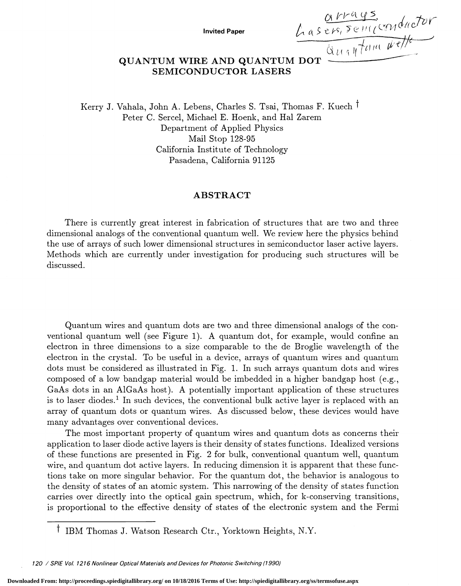Invited Paper  $\frac{\alpha V \alpha \varphi s}{\alpha s \varphi s, \overline{s} \varphi \pi (\alpha \varphi s)}$ <br>E AND OUANTILLET  $\alpha = \frac{\alpha V \alpha \varphi s}{\alpha \alpha \pi V \alpha \mu}$ 

## QUANTUM WIRE AND QUANTUM DOT SEMICONDUCTOR LASERS

Kerry J. Vahala, John A. Lebens, Charles S. Tsai, Thomas F. Kuech <sup>†</sup> Peter C. Sercel, Michael E. Hoenk, and Hal Zarem Department of Applied Physics Mail Stop 128-95 California Institute of Technology Pasadena, California 91125

## ABSTRACT

There is currently great interest in fabrication of structures that are two and three dimensional analogs of the conventional quantum well. We review here the physics behind the use of arrays of such lower dimensional structures in semiconductor laser active layers. Methods which are currently under investigation for producing such structures will be discussed.

Quantum wires and quantum dots are two and three dimensional analogs of the conventional quantum well (see Figure 1). A quantum dot, for example, would confine an electron in three dimensions to a size comparable to the de Broglie wavelength of the electron in the crystal. To be useful in a device, arrays of quantum wires and quantum dots must be considered as illustrated in Fig. 1. In such arrays quantum dots and wires composed of a low bandgap material would be imbedded in a higher bandgap host (e.g., GaAs dots in an AlGaAs host). A potentially important application of these structures is to laser diodes.<sup>1</sup> In such devices, the conventional bulk active layer is replaced with an array of quantum dots or quantum wires. As discussed below, these devices would have many advantages over conventional devices.

The most important property of quantum wires and quantum dots as concerns their application to laser diode active layers is their density of states functions. Idealized versions of these functions are presented in Fig. 2 for bulk, conventional quantum well, quantum wire, and quantum dot active layers. In reducing dimension it is apparent that these functions take on more singular behavior. For the quantum dot, the behavior is analogous to the density of states of an atomic system. This narrowing of the density of states function carries over directly into the optical gain spectrum, which, for k-conserving transitions, is proportional to the effective density of states of the electronic system and the Fermi

t IBM Thomas J. Watson Research Ctr., Yorktown Heights, N.Y.

<sup>120 /</sup> SPIE Vol. 1216 Nonlinear Optical Materials and Devices for Photonic Switching (1990)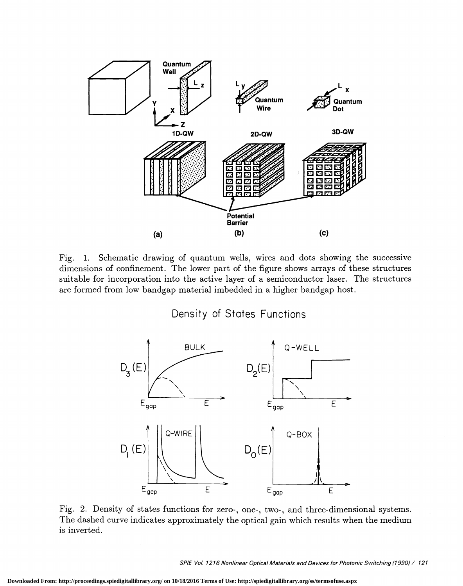

Fig. 1. Schematic drawing of quantum wells, wires and dots showing the successive dimensions of confinement. The lower part of the figure shows arrays of these structures suitable for incorporation into the active layer of a semiconductor laser. The structures are formed from low bandgap material imbedded in a higher bandgap host.

## Density of States Functions



Fig. 2. Density of states functions for zero-, one-, two-, and three-dimensional systems. The dashed curve indicates approximately the optical gain which results when the medium is inverted.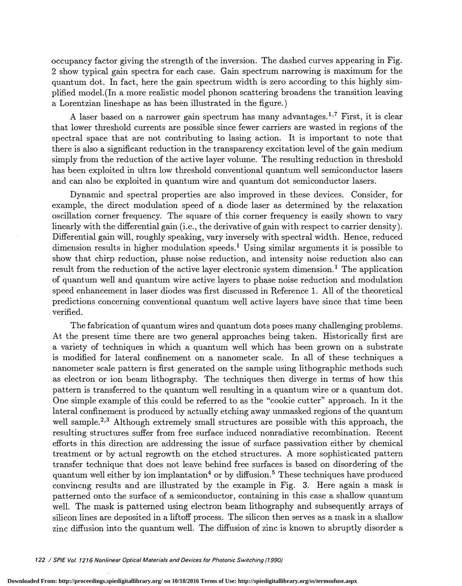occupancy factor giving the strength of the inversion. The dashed curves appearing in Fig. 2 show typical gain spectra for each case. Gain spectrum narrowing is maximum for the quantum dot. In fact, here the gain spectrum width is zero according to this highly sim plified model.(In a more realistic model phonon scattering broadens the transition leaving a Lorentzian lineshape as has been illustrated in the figure.)

A laser based on a narrower gain spectrum has many advantages.<sup>1,7</sup> First, it is clear that lower threshold currents are possible since fewer carriers are wasted in regions of the spectral space that are not contributing to lasing action. It is important to note that there is also a significant reduction in the transparency excitation level of the gain medium simply from the reduction of the active layer volume. The resulting reduction in threshold has been exploited in ultra low threshold conventional quantum well semiconductor lasers and can also be exploited in quantum wire and quantum dot semiconductor lasers.

Dynamic and spectral properties are also improved in these devices. Consider, for example, the direct modulation speed of a diode laser as determined by the relaxation oscillation corner frequency. The square of this corner frequency is easily shown to vary linearly with the differential gain (i.e., the derivative of gain with respect to carrier density). Differential gain will, roughly speaking, vary inversely with spectral width. Hence, reduced dimension results in higher modulation speeds.<sup>1</sup> Using similar arguments it is possible to show that chirp reduction, phase noise reduction, and intensity noise reduction also can result from the reduction of the active layer electronic system dimension.<sup>1</sup> The application of quantum well and quantum wire active layers to phase noise reduction and modulation speed enhancement in laser diodes was first discussed in Reference 1 . All of the theoretical predictions concerning conventional quantum well active layers have since that time been verified.

The fabrication of quantum wires and quantum dots poses many challenging problems. At the present time there are two general approaches being taken. Historically first are a variety of techniques in which a quantum well which has been grown on a substrate is modified for lateral confinement on a nanometer scale. In all of these techniques a nanometer scale pattern is first generated on the sample using lithographic methods such as electron or ion beam lithography. The techniques then diverge in terms of how this pattern is transferred to the quantum well resulting in a quantum wire or a quantum dot. One simple example of this could be referred to as the "cookie cutter" approach. In it the lateral confinement is produced by actually etching away unmasked regions of the quantum well sample.<sup>2,3</sup> Although extremely small structures are possible with this approach, the resulting structures suffer from free surface induced nonradiative recombination. Recent efforts in this direction are addressing the issue of surface passivation either by chemical treatment or by actual regrowth on the etched structures. A more sophisticated pattern transfer technique that does not leave behind free surfaces is based on disordering of the quantum well either by ion implantation<sup>4</sup> or by diffusion.<sup>5</sup> These techniques have produced convincng results and are illustrated by the example in Fig. 3. Here again a mask is patterned onto the surface of a semiconductor, containing in this case a shallow quantum well. The mask is patterned using electron beam lithography and subsequently arrays of silicon lines are deposited in a liftoff process. The silicon then serves as a mask in a shallow zinc diffusion into the quantum well. The diffusion of zinc is known to abruptly disorder a

122 / SPIE Vol. 1216 Nonlinear Optical Materials and Devices for Photon/c Switching (1990)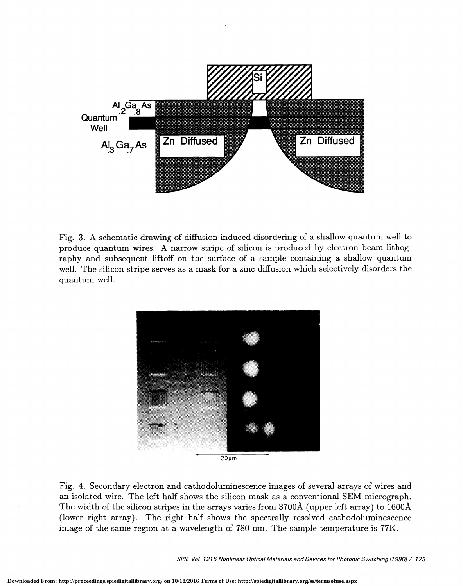

Fig. 3. A schematic drawing of diffusion induced disordering of a shallow quantum well to produce quantum wires. A narrow stripe of silicon is produced by electron beam lithography and subsequent liftoff on the surface of a sample containing a shallow quantum well. The silicon stripe serves as a mask for a zinc diffusion which selectively disorders the quantum well.



Fig. 4. Secondary electron and cathodoluminescence images of several arrays of wires and an isolated wire. The left half shows the silicon mask as a conventional SEM micrograph. The width of the silicon stripes in the arrays varies from 3700A (upperleft array) to 1600A (lower right array). The right half shows the spectrally resolved cathodoluminescence image of the same region at a wavelength of 780 nm. The sample temperature is 77K.

SPIE Vol. 1216 Nonlinear Optical Materials and Devices for Photonic Switching (1990) / 123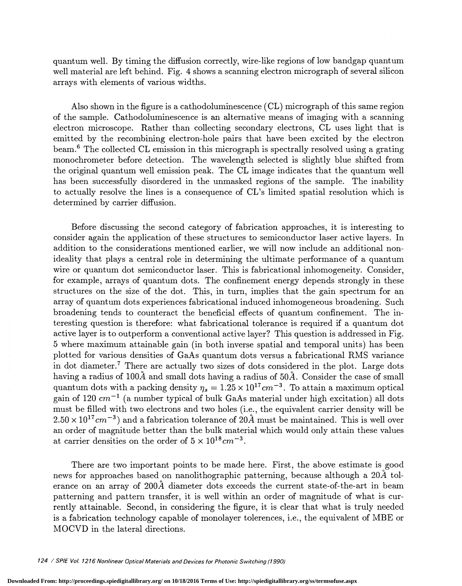quantum well. By timing the diffusion correctly, wire-like regions of low bandgap quantum well material are left behind. Fig. 4 shows a scanning electron micrograph of several silicon arrays with elements of various widths.

Also shown in the figure is a cathodoluminescence (CL) micrograph of this same region of the sample. Cathodoluminescence is an alternative means of imaging with a scanning electron microscope. Rather than collecting secondary electrons, CL uses light that is emitted by the recombining electron-hole pairs that have been excited by the electron beam.6 The collected CL emission in this micrograph is spectrally resolved using a grating monochrometer before detection. The wavelength selected is slightly blue shifted from the original quantum well emission peak. The CL image indicates that the quantum well has been successfully disordered in the unmasked regions of the sample. The inability to actually resolve the lines is a consequence of CL's limited spatial resolution which is determined by carrier diffusion.

Before discussing the second category of fabrication approaches, it is interesting to consider again the application of these structures to semiconductor laser active layers. In addition to the considerations mentioned earlier, we will now include an additional nonideality that plays a central role in determining the ultimate performance of a quantum wire or quantum dot semiconductor laser. This is fabricational inhomogeneity. Consider, for example, arrays of quantum dots. The confinement energy depends strongly in these structures on the size of the dot. This, in turn, implies that the gain spectrum for an array of quantum dots experiences fabricational induced inhomogeneous broadening. Such broadening tends to counteract the beneficial effects of quantum confinement. The interesting question is therefore: what fabricational tolerance is required if a quantum dot active layer is to outperform a conventional active layer? This question is addressed in Fig. 5 where maximum attainable gain (in both inverse spatial and temporal units) has been plotted for various densities of GaAs quantum dots versus a fabricational RMS variance in dot diameter.7 There are actually two sizes of dots considered in the plot. Large dots having a radius of  $100\text{\AA}$  and small dots having a radius of  $50\text{\AA}$ . Consider the case of small quantum dots with a packing density  $\eta_s = 1.25 \times 10^{17} \text{cm}^{-3}$ . To attain a maximum optical gain of 120  $cm^{-1}$  (a number typical of bulk GaAs material under high excitation) all dots must be filled with two electrons and two holes (i.e., the equivalent carrier density will be  $2.50 \times 10^{17}$  cm<sup>-3</sup>) and a fabrication tolerance of 20Å must be maintained. This is well over an order of magnitude better than the bulk material which would only attain these values at carrier densities on the order of  $5 \times 10^{18} cm^{-3}$ .

There are two important points to be made here. First, the above estimate is good news for approaches based on nanolithographic patterning, because although a 20A tolerance on an array of 200A diameter dots exceeds the current state-of-the-art in beam patterning and pattern transfer, it is well within an order of magnitude of what is currently attainable. Second, in considering the figure, it is clear that what is truly needed is a fabrication technology capable of monolayer tolerences, i.e., the equivalent of MBE or MOCVD in the lateral directions.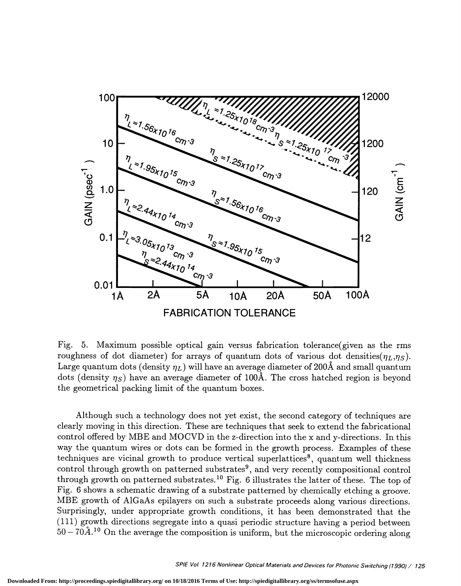

Fig. 5. Maximum possible optical gain versus fabrication tolerance(given as the rms roughness of dot diameter) for arrays of quantum dots of various dot densities( $\eta_L, \eta_S$ ). Large quantum dots (density  $\eta_L$ ) will have an average diameter of 200Å and small quantum dots (density  $\eta_s$ ) have an average diameter of 100Å. The cross hatched region is beyond the geometrical packing limit of the quantum boxes.

Although such a technology does not yet exist, the second category of techniques are clearly moving in this direction. These are techniques that seek to extend the fabricational control offered by MBE and MOCVD in the z-direction into the x and y-directions. In this way the quantum wires or dots can be formed in the growth process. Examples of these techniques are vicinal growth to produce vertical superlattices<sup>8</sup>, quantum well thickness control through growth on patterned substrates<sup>9</sup>, and very recently compositional control through growth on patterned substrates.<sup>10</sup> Fig. 6 illustrates the latter of these. The top of Fig. 6 shows a schematic drawing of a substrate patterned by chemically etching a groove. MBE growth of A1GaAs epilayers on such a substrate proceeds along various directions. Surprisingly, under appropriate growth conditions, it has been demonstrated that the (111) growth directions segregate into a quasi periodic structure having a period between  $50-70A$ <sup>10</sup> On the average the composition is uniform, but the microscopic ordering along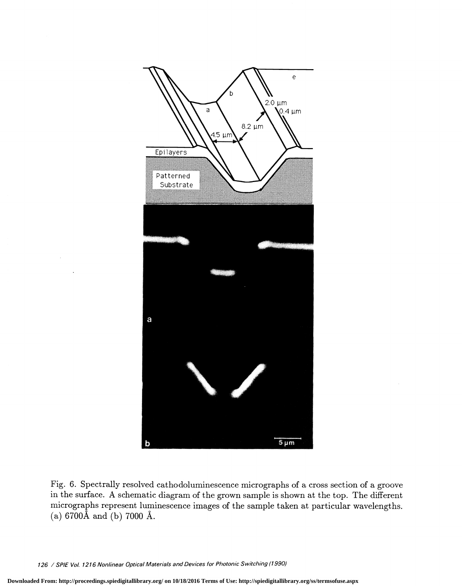

Fig. 6. Spectrally resolved cathodoluminescence micrographs of a cross section of a groove in the surface. A schematic diagram of the grown sample is shown at the top. The different micrographs represent luminescence images of the sample taken at particular wavelengths. (a)  $6700\text{\AA}$  and (b)  $7000\text{\AA}$ .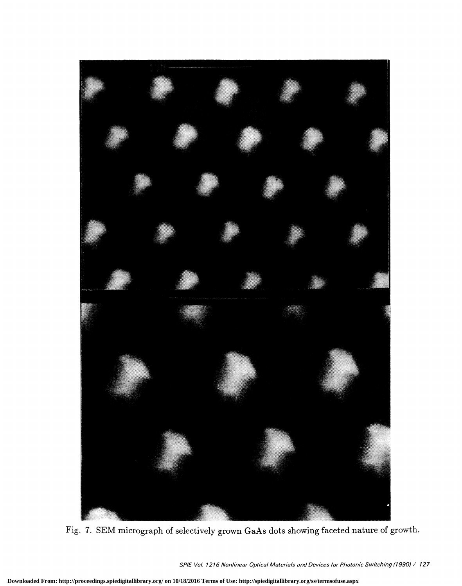

Fig. 7. SEM micrograph of selectively grown GaAs dots showing faceted nature of growth.

SPIE Vol. 1216 Nonlinear Optical Materials and Devices for Photonic Switching (1990) / 127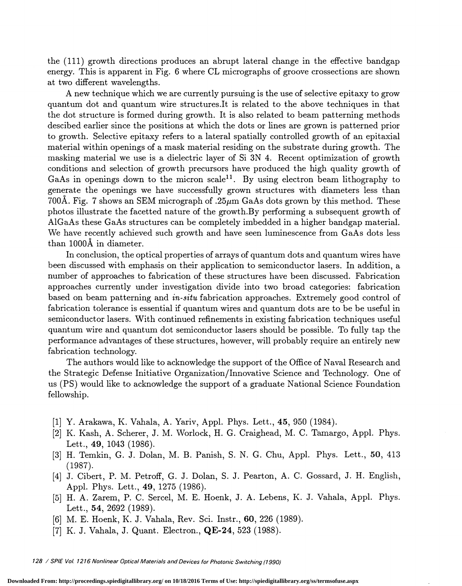the (111) growth directions produces an abrupt lateral change in the effective bandgap energy. This is apparent in Fig. 6 where CL micrographs of groove crossections are shown at two different wavelengths.

A new technique which we are currently pursuing is the use of selective epitaxy to grow quantum dot and quantum wire structures.It is related to the above techniques in that the dot structure is formed during growth. It is also related to beam patterning methods descibed earlier since the positions at which the dots or lines are grown is patterned prior to growth. Selective epitaxy refers to a lateral spatially controlled growth of an epitaxial material within openings of a mask material residing on the substrate during growth. The masking material we use is a dielectric layer of Si 3N 4. Recent optimization of growth conditions and selection of growth precursors have produced the high quality growth of GaAs in openings down to the micron scale<sup>11</sup>. By using electron beam lithography to generate the openings we have successfully grown structures with diameters less than 700A. Fig. 7 shows an SEM micrograph of .25 $\mu$ m GaAs dots grown by this method. These photos illustrate the facetted nature of the growth.By performing a subsequent growth of A1GaAs these GaAs structures can be completely imbedded in a higher bandgap material. We have recently achieved such growth and have seen luminescence from GaAs dots less than 1000Å in diameter.

In conclusion, the optical properties of arrays of quantum dots and quantum wires have been discussed with emphasis on their application to semiconductor lasers. In addition, a number of approaches to fabrication of these structures have been discussed. Fabrication approaches currently under investigation divide into two broad categories: fabrication based on beam patterning and in-situ fabrication approaches. Extremely good control of fabrication tolerance is essential if quantum wires and quantum dots are to be be useful in semiconductor lasers. With continued refinements in existing fabrication techniques useful quantum wire and quantum dot semiconductor lasers should be possible. To fully tap the performance advantages of these structures, however, will probably require an entirely new fabrication technology.

The authors would like to acknowledge the support of the Office of Naval Research and the Strategic Defense Initiative Organization/Innovative Science and Technology. One of us (PS) would like to acknowledge the support of a graduate National Science Foundation fellowship.

- [1] Y. Arakawa, K. Vahala, A. Yariv, Appl. Phys. Lett., 45, 950 (1984).
- [2] K. Kash, A. Scherer, J. M. Worlock, H. G. Craighead, M. C. Tamargo, Appl. Phys. Lett., 49, 1043 (1986).
- [3] II. Temkin, G. J. Dolan, M. B. Panish, S. N. G. Chu, Appi. Phys. Lett., 50, 413 (1987). [4] J. Cibert, P. M. Petroff, G. J. Dolan, S. J. Pearton, A. C. Gossard, J. H. English,
- Appl. Phys. Lett., 49, 1275 (1986).<br>[5] H. A. Zarem, P. C. Sercel, M. E. Hoenk, J. A. Lebens, K. J. Vahala, Appl. Phys.
- Lett., 54, 2692 (1989).
- [6] M. E. Hoenk, K. J. Vahala, Rev. Sci. Instr., 60, 226 (1989).
- [7] K. J. Vahala, J. Quant. Electron., QE-24, 523 (1988).

128 / SPIE Vol. 1216 Nonlinear Optical Materials and Devices for Photonic Switching (1990)